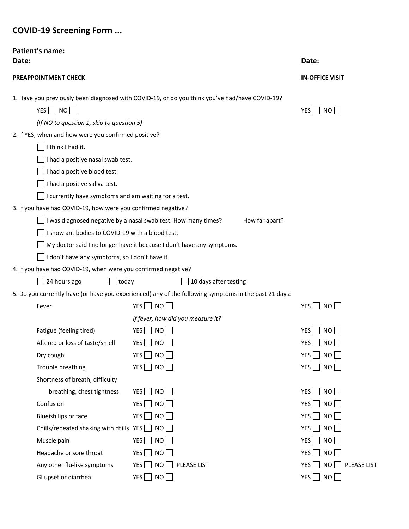# **COVID-19 Screening Form ...**

| Patient's name:<br>Date:                                                         |                                                                                                       | Date:                                           |  |  |  |  |  |  |
|----------------------------------------------------------------------------------|-------------------------------------------------------------------------------------------------------|-------------------------------------------------|--|--|--|--|--|--|
| <b>PREAPPOINTMENT CHECK</b>                                                      | <b>IN-OFFICE VISIT</b>                                                                                |                                                 |  |  |  |  |  |  |
|                                                                                  | 1. Have you previously been diagnosed with COVID-19, or do you think you've had/have COVID-19?        |                                                 |  |  |  |  |  |  |
| $YES$ NO                                                                         |                                                                                                       | YES $\Box$ NO $\Box$                            |  |  |  |  |  |  |
| (If NO to question 1, skip to question 5)                                        |                                                                                                       |                                                 |  |  |  |  |  |  |
| 2. If YES, when and how were you confirmed positive?                             |                                                                                                       |                                                 |  |  |  |  |  |  |
| I think I had it.                                                                |                                                                                                       |                                                 |  |  |  |  |  |  |
| I had a positive nasal swab test.                                                |                                                                                                       |                                                 |  |  |  |  |  |  |
| I had a positive blood test.                                                     |                                                                                                       |                                                 |  |  |  |  |  |  |
| I had a positive saliva test.                                                    |                                                                                                       |                                                 |  |  |  |  |  |  |
| I currently have symptoms and am waiting for a test.                             |                                                                                                       |                                                 |  |  |  |  |  |  |
| 3. If you have had COVID-19, how were you confirmed negative?                    |                                                                                                       |                                                 |  |  |  |  |  |  |
| I was diagnosed negative by a nasal swab test. How many times?<br>How far apart? |                                                                                                       |                                                 |  |  |  |  |  |  |
| I show antibodies to COVID-19 with a blood test.                                 |                                                                                                       |                                                 |  |  |  |  |  |  |
|                                                                                  | My doctor said I no longer have it because I don't have any symptoms.                                 |                                                 |  |  |  |  |  |  |
| I don't have any symptoms, so I don't have it.                                   |                                                                                                       |                                                 |  |  |  |  |  |  |
| 4. If you have had COVID-19, when were you confirmed negative?                   |                                                                                                       |                                                 |  |  |  |  |  |  |
| 24 hours ago<br>$\Box$ today                                                     | 10 days after testing                                                                                 |                                                 |  |  |  |  |  |  |
|                                                                                  | 5. Do you currently have (or have you experienced) any of the following symptoms in the past 21 days: |                                                 |  |  |  |  |  |  |
| Fever                                                                            | YES NO                                                                                                | YES $\Box$ NO $\Box$                            |  |  |  |  |  |  |
|                                                                                  | If fever, how did you measure it?                                                                     |                                                 |  |  |  |  |  |  |
| Fatigue (feeling tired)                                                          | $YES$ NO                                                                                              | $YES \nightharpoonup NO$                        |  |  |  |  |  |  |
| Altered or loss of taste/smell                                                   | YES $\Box$ NO $\Box$                                                                                  | $YES$ NO                                        |  |  |  |  |  |  |
| Dry cough                                                                        | YES<br>NO                                                                                             | YES <sup>[</sup><br>$\overline{\phantom{a}}$ NO |  |  |  |  |  |  |
| Trouble breathing                                                                | YES $\Box$ NO $\Box$                                                                                  | YES $\Box$ NO $\Box$                            |  |  |  |  |  |  |
| Shortness of breath, difficulty                                                  |                                                                                                       |                                                 |  |  |  |  |  |  |
| breathing, chest tightness                                                       | NO<br>YES                                                                                             | YES $\Box$ NO $\Box$                            |  |  |  |  |  |  |
| Confusion                                                                        | $YES$ $\Box$<br>NO                                                                                    | $YES$ NO                                        |  |  |  |  |  |  |
| Blueish lips or face                                                             | YES $\Box$<br>NO                                                                                      | YES $\Box$ NO $\Box$                            |  |  |  |  |  |  |
| Chills/repeated shaking with chills $YES$                                        | NO                                                                                                    | $YES$ NO                                        |  |  |  |  |  |  |
| Muscle pain                                                                      | YES<br>NO <b>NO</b>                                                                                   | YES NO                                          |  |  |  |  |  |  |
| Headache or sore throat                                                          | YES<br>NO                                                                                             | $YES$ NO                                        |  |  |  |  |  |  |
| Any other flu-like symptoms                                                      | YES<br>NO<br>PLEASE LIST                                                                              | YES  <br>NO<br>PLEASE LIST                      |  |  |  |  |  |  |
| GI upset or diarrhea                                                             | NO<br>YES $\Box$                                                                                      | YES $\Box$ NO $\Box$                            |  |  |  |  |  |  |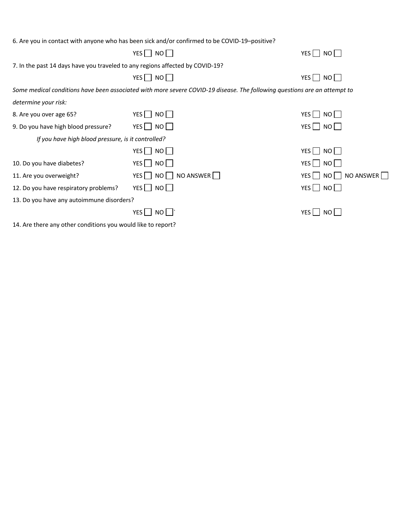|                                                                               | 6. Are you in contact with anyone who has been sick and/or confirmed to be COVID-19-positive?                             |                                  |
|-------------------------------------------------------------------------------|---------------------------------------------------------------------------------------------------------------------------|----------------------------------|
|                                                                               | $YES \nightharpoonup NO \nightharpoonup$                                                                                  | YES $\Box$ NO                    |
| 7. In the past 14 days have you traveled to any regions affected by COVID-19? |                                                                                                                           |                                  |
|                                                                               | YES NO                                                                                                                    | YES $\Box$ NO $\Box$             |
|                                                                               | Some medical conditions have been associated with more severe COVID-19 disease. The following questions are an attempt to |                                  |
| determine your risk:                                                          |                                                                                                                           |                                  |
| 8. Are you over age 65?                                                       | YES   NO                                                                                                                  | YES   NO                         |
| 9. Do you have high blood pressure?                                           | YES   NO                                                                                                                  | YES NO                           |
| If you have high blood pressure, is it controlled?                            |                                                                                                                           |                                  |
|                                                                               | YES    <br>NO II                                                                                                          | YES <sub>N</sub> NO <sub>N</sub> |
| 10. Do you have diabetes?                                                     | YES   NO                                                                                                                  | YES   NO                         |
| 11. Are you overweight?                                                       | YES NO NO ANSWER                                                                                                          | YES NO NO ANSWER                 |
| 12. Do you have respiratory problems?                                         | $YES$ NO                                                                                                                  | YES $\Box$ NO $\Box$             |
| 13. Do you have any autoimmune disorders?                                     |                                                                                                                           |                                  |
|                                                                               | YES I<br>NO I                                                                                                             | $YES$    <br>NO I                |
|                                                                               |                                                                                                                           |                                  |

14. Are there any other conditions you would like to report?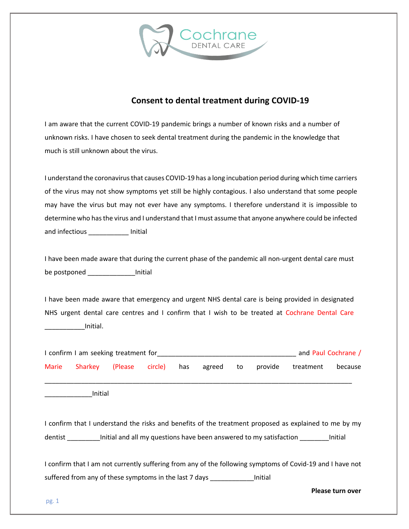

## **Consent to dental treatment during COVID-19**

I am aware that the current COVID-19 pandemic brings a number of known risks and a number of unknown risks. I have chosen to seek dental treatment during the pandemic in the knowledge that much is still unknown about the virus.

I understand the coronavirus that causes COVID-19 has a long incubation period during which time carriers of the virus may not show symptoms yet still be highly contagious. I also understand that some people may have the virus but may not ever have any symptoms. I therefore understand it is impossible to determine who has the virus and I understand that I must assume that anyone anywhere could be infected and infectious **and** initial

I have been made aware that during the current phase of the pandemic all non-urgent dental care must be postponed and almitial

I have been made aware that emergency and urgent NHS dental care is being provided in designated NHS urgent dental care centres and I confirm that I wish to be treated at Cochrane Dental Care \_\_\_\_\_\_\_\_\_\_\_Initial.

| I confirm I am seeking treatment for                                                                                     |         |          |         |     |        | and Paul Cochrane / |         |           |         |  |
|--------------------------------------------------------------------------------------------------------------------------|---------|----------|---------|-----|--------|---------------------|---------|-----------|---------|--|
| <b>Marie</b>                                                                                                             | Sharkey | (Please) | circle) | has | agreed | to                  | provide | treatment | because |  |
|                                                                                                                          |         |          |         |     |        |                     |         |           |         |  |
|                                                                                                                          | Initial |          |         |     |        |                     |         |           |         |  |
|                                                                                                                          |         |          |         |     |        |                     |         |           |         |  |
| I confirm that I understand the risks and benefits of the treatment proposed as explained to me by my                    |         |          |         |     |        |                     |         |           |         |  |
| Initial and all my questions have been answered to my satisfaction<br>dentist<br>Initial                                 |         |          |         |     |        |                     |         |           |         |  |
|                                                                                                                          |         |          |         |     |        |                     |         |           |         |  |
| the continued that I gave a statement in the interesting and the fall substance and capture of Capital 40 and Lhain part |         |          |         |     |        |                     |         |           |         |  |

I confirm that I am not currently suffering from any of the following symptoms of Covid-19 and I have not suffered from any of these symptoms in the last 7 days \_\_\_\_\_\_\_\_\_\_\_\_\_\_\_\_Initial

**Please turn over**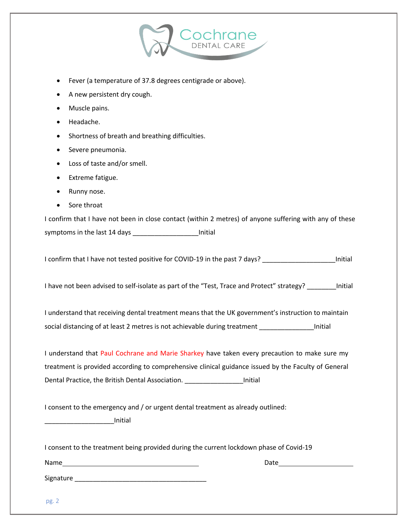

- Fever (a temperature of 37.8 degrees centigrade or above).
- A new persistent dry cough.
- Muscle pains.
- Headache.
- Shortness of breath and breathing difficulties.
- Severe pneumonia.
- Loss of taste and/or smell.
- Extreme fatigue.
- Runny nose.
- Sore throat

I confirm that I have not been in close contact (within 2 metres) of anyone suffering with any of these symptoms in the last 14 days \_\_\_\_\_\_\_\_\_\_\_\_\_\_\_\_\_\_Initial

I confirm that I have not tested positive for COVID-19 in the past 7 days? \_\_\_\_\_\_\_\_\_\_\_\_\_\_\_\_\_\_\_\_\_\_\_\_\_\_\_\_\_\_\_\_\_\_Initial

I have not been advised to self-isolate as part of the "Test, Trace and Protect" strategy? \_\_\_\_\_\_\_\_Initial

I understand that receiving dental treatment means that the UK government's instruction to maintain social distancing of at least 2 metres is not achievable during treatment \_\_\_\_\_\_\_\_\_\_\_\_\_\_\_\_Initial

I understand that Paul Cochrane and Marie Sharkey have taken every precaution to make sure my treatment is provided according to comprehensive clinical guidance issued by the Faculty of General Dental Practice, the British Dental Association. \_\_\_\_\_\_\_\_\_\_\_\_\_\_\_\_\_\_\_\_Initial

I consent to the emergency and / or urgent dental treatment as already outlined:

\_\_\_\_\_\_\_\_\_\_\_\_\_\_\_\_\_\_\_Initial

I consent to the treatment being provided during the current lockdown phase of Covid-19

Name Date **Date** Date **Date** Date **Date** Date **Date** Date **Date** 

Signature \_\_\_\_\_\_\_\_\_\_\_\_\_\_\_\_\_\_\_\_\_\_\_\_\_\_\_\_\_\_\_\_\_\_\_\_

pg. 2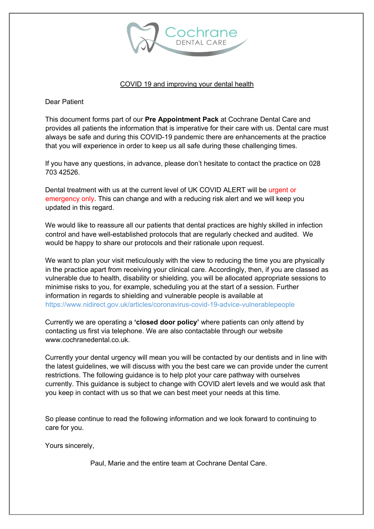

#### COVID 19 and improving your dental health

Dear Patient

This document forms part of our **Pre Appointment Pack** at Cochrane Dental Care and provides all patients the information that is imperative for their care with us. Dental care must always be safe and during this COVID-19 pandemic there are enhancements at the practice that you will experience in order to keep us all safe during these challenging times.

If you have any questions, in advance, please don't hesitate to contact the practice on 028 703 42526.

Dental treatment with us at the current level of UK COVID ALERT will be urgent or emergency only. This can change and with a reducing risk alert and we will keep you updated in this regard.

We would like to reassure all our patients that dental practices are highly skilled in infection control and have well-established protocols that are regularly checked and audited. We would be happy to share our protocols and their rationale upon request.

We want to plan your visit meticulously with the view to reducing the time you are physically in the practice apart from receiving your clinical care. Accordingly, then, if you are classed as vulnerable due to health, disability or shielding, you will be allocated appropriate sessions to minimise risks to you, for example, scheduling you at the start of a session. Further information in regards to shielding and vulnerable people is available at https://www.nidirect.gov.uk/articles/coronavirus-covid-19-advice-vulnerablepeople

Currently we are operating a **'closed door policy'** where patients can only attend by contacting us first via telephone. We are also contactable through our website www.cochranedental.co.uk.

Currently your dental urgency will mean you will be contacted by our dentists and in line with the latest guidelines, we will discuss with you the best care we can provide under the current restrictions. The following guidance is to help plot your care pathway with ourselves currently. This guidance is subject to change with COVID alert levels and we would ask that you keep in contact with us so that we can best meet your needs at this time.

So please continue to read the following information and we look forward to continuing to care for you.

Yours sincerely,

Paul, Marie and the entire team at Cochrane Dental Care.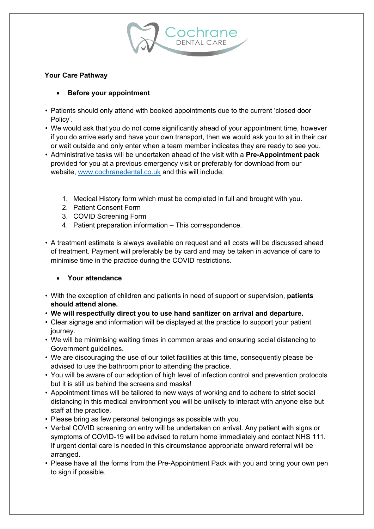## **Your Care Pathway**

## • **Before your appointment**

- Patients should only attend with booked appointments due to the current 'closed door Policy'.
- We would ask that you do not come significantly ahead of your appointment time, however if you do arrive early and have your own transport, then we would ask you to sit in their car or wait outside and only enter when a team member indicates they are ready to see you.
- Administrative tasks will be undertaken ahead of the visit with a **Pre-Appointment pack** provided for you at a previous emergency visit or preferably for download from our website, www.cochranedental.co.uk and this will include:
	- 1. Medical History form which must be completed in full and brought with you.
	- 2. Patient Consent Form
	- 3. COVID Screening Form
	- 4. Patient preparation information This correspondence.
- A treatment estimate is always available on request and all costs will be discussed ahead of treatment. Payment will preferably be by card and may be taken in advance of care to minimise time in the practice during the COVID restrictions.

### • **Your attendance**

- With the exception of children and patients in need of support or supervision, **patients should attend alone.**
- **We will respectfully direct you to use hand sanitizer on arrival and departure.**
- Clear signage and information will be displayed at the practice to support your patient journey.
- We will be minimising waiting times in common areas and ensuring social distancing to Government guidelines.
- We are discouraging the use of our toilet facilities at this time, consequently please be advised to use the bathroom prior to attending the practice.
- You will be aware of our adoption of high level of infection control and prevention protocols but it is still us behind the screens and masks!
- Appointment times will be tailored to new ways of working and to adhere to strict social distancing in this medical environment you will be unlikely to interact with anyone else but staff at the practice.
- Please bring as few personal belongings as possible with you.
- Verbal COVID screening on entry will be undertaken on arrival. Any patient with signs or symptoms of COVID-19 will be advised to return home immediately and contact NHS 111. If urgent dental care is needed in this circumstance appropriate onward referral will be arranged.
- Please have all the forms from the Pre-Appointment Pack with you and bring your own pen to sign if possible.